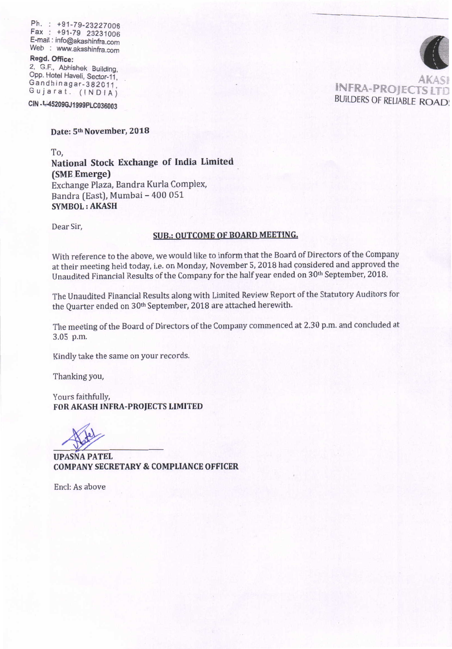Ph. : +91-79-23227006 Fax : +91-79 23231006 Fax .: +91-79 2323,t006 E-mail : info@akashinfra.com .E-mait : info@akashinta.com Web : www.akashinfra.com

#### Regd. Office:

2, G.F., Abhishek Building, Opp. Hotel Haveli, Sector-11, Gandhinagar-382011, Gujarat. (INDIA) Upp. Hotel Haveli, Sector-11,<br>Gandhinagar-382011,<br>Gujarat. (INDIA)

**CIN -1-452090J1999PL.0036003**  ctN .L45209cJ1999P1C036003

# **Date: 5th November, 2018**  Date: sth November, 2018

To, To,

**National Stock Exchange of India Limited**  National Stock Exchange of India Limited **(SME Emerge)**  (SME Emerge) Exchange Plaza, Bandra Kurla Complex, Exchange Plaza, Bandra Kurla Complex, Bandra (East), Mumbai - 400 051 Bandra (East), Mumbai - 400 051 **SYMBOL : AKASH**  SYMBOL: AKASH

Dear Sir, Dear Sir,

### **SUB.: OUTCOME OF BOARD MEETING,**  SUB.: OUTCOME OF BOARD MEETING.

With reference to the above, we would like to inform that the Board of Directors of the Company at their meeting held today, i.e. on Monday, November 5, 2018 had considered and approved the at their meeting held today, i.e. on Monday, November 5, 2018 had considered and approved the Unaudited Financial Results of the Company for the half year ended on 30<sup>th</sup> September, 2018.

The Unaudited Financial Results along with Limited Review Report of the Statutory Auditors for The Unaudited Financial Results along with Limited Review Report ofthe Statutory Auditors for the Quarter ended on 30th September, 2018 are attached herewith.

The meeting of the Board of Directors of the Company commenced at 2.30 p.m. and concluded at The meeting ofthe Board of Directors ofthe Company commenced at 2.30 p.m. and concluded at 3.05 p.m. 3.05 p.m.

Kindly take the same on your records. Kindly take the same on your records.

Thanking you, Thanking you,

Yours faithfully, Yours faithfully, **FOR AKASH INFRA-PROJECTS LIMITED**  FOR AKASH INFRA.PROJECTS LIMITED

**UPASNA PATEL**  UPASNA PATEL **COMPANY SECRETARY & COMPLIANCE OFFICER**  COMPANY SECRETARY & COMPLIANCE OFFICER

Encl: As above Encl: As above

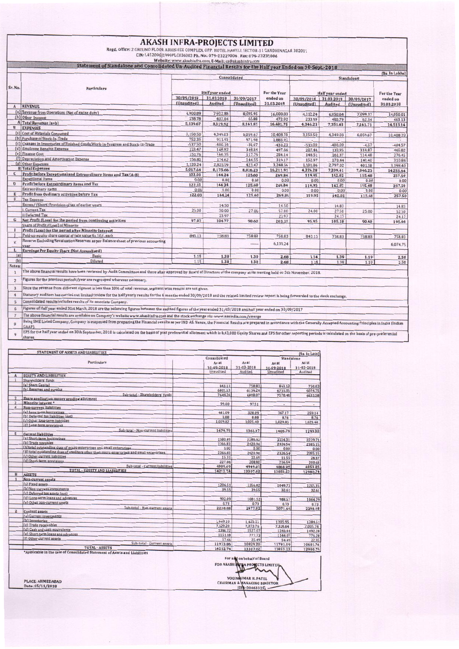#### **AKASH INFRA-PROJECTS LIMITED**

Regd. Office: 2 GROUND FLOOR ABHISHEK COMPLEX, OPP. HOTEL HAVELI, SECTOR-11 GANDHINAGAR 382011<br>CIN: L45209GJ1999PLC036003 Ph. No.: 079-23227006, Fax: 079-23231006

Website: www.akashinfra.com, E-Mail: cs@akashinfra.com<br>Statement of Standalone and Concolidated United Binandal Departures

|              |                                                                                                                                                                             | (Rs. In Lakhs)     |                     |                    |                       |                      |                    |                |                |  |
|--------------|-----------------------------------------------------------------------------------------------------------------------------------------------------------------------------|--------------------|---------------------|--------------------|-----------------------|----------------------|--------------------|----------------|----------------|--|
| Sr. No.      | <b>Particulars</b>                                                                                                                                                          | Consolidated       |                     |                    |                       | Standalone           |                    |                |                |  |
|              |                                                                                                                                                                             | Half year ended    |                     |                    | <b>For the Year</b>   | Half year ended      |                    |                | For the Year   |  |
|              |                                                                                                                                                                             | 30/09/2018         | 31.03.2018          | 30/09/2017         | ended on              | 30/09/2018           | 31.03.2018         | 30/09/2017     | ended on       |  |
| $\mathbf{A}$ | <b>REVENUE</b>                                                                                                                                                              | (Unaudited)        | Audited             | (Unaudited)        | 31.03.2018            | (Unaudited)          | Audited            | (Unaudited)    | 31.03.2018     |  |
|              | (a) Revenue from Operations (Net of excise duty)                                                                                                                            | 4,900.89           |                     |                    |                       |                      |                    |                |                |  |
|              | (b) Other Income                                                                                                                                                            |                    | 7,912.88            | 8,095.95           | 16,008.83             | 4,112.24             | 6,950.64           | 7.099.37       | 14,050.01      |  |
|              | A Total Revenue (a+b)                                                                                                                                                       | 238.78             | 407.04              | 65.88              | 472.92                | 233.99               | 400.79             | 62.34          | 463.13         |  |
| B            | <b>EXPENSES</b>                                                                                                                                                             | 5,139.67           | 8,319.92            | 8,161.83           | 16,481.75             | 4,346.23             | 7,351.43           | 7,161.71       | 14,513.14      |  |
|              | (a) Cost of Materials Consumed                                                                                                                                              |                    |                     |                    |                       |                      |                    |                |                |  |
|              | (b) Purchase of Stock-In-Trade                                                                                                                                              | 3,150.50<br>752.35 | 4.349.03            | 6,059.67           | 10,408.70             | 3,150.50             | 4,349.03           | 6,059.67       | 10,408.70      |  |
|              | (c) Changes in Inventories of Finished Goods, Work-In-Progress and Stock-In-Trade                                                                                           | $-537.50$          | 911.93              | 971.98             | 1,883.91              |                      |                    |                |                |  |
|              | (d) Employee Benefits Expense                                                                                                                                               | 223.47             | $-400.16$<br>148.82 | $-30.07$<br>348.84 | $-430.23$             | $-535.00$            | $-400.00$          | $-4.57$        | $-404.57$      |  |
|              | (e) Finance Cost                                                                                                                                                            | 151.76             | 166.35              | 117.79             | 497.66<br>284.14      | 207.44               | 130.95             | 334.87         | 465.82         |  |
|              | [f] Depreciation and Amortisation Expense                                                                                                                                   | 156.82             | 174.62              | 144.55             | 319.17                | 148.51<br>152.97     | 161.97<br>170.44   | 114.48         | 276.45         |  |
|              | (g) Other Expenses                                                                                                                                                          | 1,120.24           | 2,825.09            | 423.47             |                       |                      |                    | 140.40         | 310.84         |  |
|              | <b>B</b> Total Expenses                                                                                                                                                     | 5,017.64           | 8,175.68            | 8,036.23           | 3,248.56<br>16,211.91 | 1,101.86<br>4,226.28 | 2,797.02           | 401.38         | 3,198.40       |  |
| $\mathbf{C}$ | Profit before Exceptional and Extraordinary Items and Tax (A-B)                                                                                                             | 122.03             | 144.24              | 125.60             | 269.84                | 119.95               | 7,209.41<br>142.02 | 7,046.23       | 14,255.64      |  |
|              | <b>Exceptional Items</b>                                                                                                                                                    | 0.00               | 0.00                | 0.00               | 0.00                  | 0.00                 | 0.00               | 115.48<br>0.00 | 257.50         |  |
| D            | Profit before Extraordinary Items and Tax                                                                                                                                   | 122.03             | 144.24              | 125.60             | 269.84                | 119.95               | 142.02             | 115.48         | 0.00<br>257.50 |  |
|              | <b>Extraordinary items</b>                                                                                                                                                  | 0.00               | 0.00                | 0.00               | 0.00                  | 0.00                 | 0.00               | 0.00           | 0.00           |  |
| E            | Profit from Ordinary activities before Tax                                                                                                                                  | 122.03             | 144.24              | 125.60             | 269.84                | 119.95               | 142.02             | 115.48         | 257.50         |  |
|              | <b>Tax Expense</b>                                                                                                                                                          |                    |                     |                    |                       |                      |                    |                |                |  |
|              | Excess/ (Short) Provision of tax of earlier years                                                                                                                           |                    | 14.50               |                    | 14.50                 |                      | 14.83              |                | 14.83          |  |
|              | I. Current Tax                                                                                                                                                              | 25.00              | 30.00               | 27.00              | 57.00                 | 24.00                | 27.50              | 25.00          | 52.50          |  |
|              | ii Deferred Tax                                                                                                                                                             |                    | 23.97               |                    | 23.97                 |                      | 24.17              |                | 24.17          |  |
| G            | Net Profit (Loss) for the period from continuing activities                                                                                                                 | 97.03              | 104.77              | 98.60              | 203.37                | 95.95                | 105.18             | 90.48          | 195.66         |  |
|              | Share of Profit/(Loss) of Minority                                                                                                                                          |                    |                     |                    |                       |                      |                    |                |                |  |
|              | Profit (Loss) for the period after Minority Interest                                                                                                                        |                    |                     |                    |                       |                      |                    |                |                |  |
|              | Paid-up equity share capital of face value Rs.10/- each                                                                                                                     | 843.13             | 758.83              | 758.83             | 758.83                | 843.13               | 758.83             | 758.83         | 758.83         |  |
| K            | Reserve Excluding Revaluation Reserves as per Balance sheet of previous accounting                                                                                          |                    |                     |                    |                       |                      |                    |                |                |  |
|              | vear                                                                                                                                                                        |                    |                     |                    | 6,139.24              |                      |                    |                | 6,074.75       |  |
| ı            | Earnings Per Equity Share (Not Annualised)                                                                                                                                  |                    |                     |                    |                       |                      |                    |                |                |  |
| (a)          | <b>Basic</b>                                                                                                                                                                | 1.15               | 1.38                | 1.30               | 2.68                  | 1.14                 | 1.39               | 1.19           | 2.58           |  |
| (b)          | Diluted                                                                                                                                                                     | 1.15               | 1.38                | 1.30               | 2.68                  | 1.14                 | 1.39               | 1.19           | 2.58           |  |
| Notes:       |                                                                                                                                                                             |                    |                     |                    |                       |                      |                    |                |                |  |
|              | The above financial results have been reviewed by Audit Committeee and there after approved by Board of Directors of the company at its meeting held on 5th November, 2018. |                    |                     |                    |                       |                      |                    |                |                |  |

2 Figures for the previous periods/year are regrouped wherever necessary.

Since the revenue from different sigment is less than 10% of total revenue, segment wise results are not given.  $\overline{\mathbf{3}}$ 

 $\overline{4}$ 

|<br>|Staturary auditors has carried out limited review for the half yearly results for the 6 months ended 30/09/2018 and the related limited review report is being forwarded to the stock exchange. Consolidated results includes results of its associate Company.  $5$ 

Figures of Half year ended 31st March, 2018 are the balancing figures between the audited figures of the year ended 31/03/2018 and half year ended on 30/09/2017  $6\overline{6}$ 

 $\overline{7}$ The above financial results are available on Company's website www.akashinfra.com and the stock exchange viz:-www.nseindia.com/emerge

Being SME Listed Company, Company is exepmted from preparing the Financial results as per IND AS. Hence, the Financial Results are prepared in accordance with the Generally Accepted Accounting Principles in India (Indian  $\mathbf{g}$ 

CAAP).<br>CAAP)<br>EPS for the half year ended on 30th September, 2018 is calculated on the basis of post preferential allotment which is 8,43,000 Equity Shares and EPS for other reporting periods is calculated on the basis of p  $\overline{9}$ shares.

|                      |                                                                                             | Consolidated |            |                              | (Rs. In Lacs) |  |
|----------------------|---------------------------------------------------------------------------------------------|--------------|------------|------------------------------|---------------|--|
|                      | <b>Particulars</b>                                                                          | As at        | As at      | Standalone<br>As at<br>As at |               |  |
|                      |                                                                                             | 30-09-2018   | 31-03-2018 | 30-09-2018                   | 31-03-2018    |  |
|                      |                                                                                             | Unaudited    | Audited    | Unaudited                    | Audited       |  |
|                      | <b>EQUITY AND LIABILITIES</b>                                                               |              |            |                              |               |  |
|                      | Shareholders' funds                                                                         |              |            |                              |               |  |
|                      | (a) Share Capital                                                                           | 843.13       | 758.83     | 843.13                       | 758.83        |  |
|                      | (b) Reserves and surplus                                                                    | 6801.13      | 6139.24    | 6735.35                      | 6074.75       |  |
|                      | Sub-total - Shareholders' funds                                                             | 7644.26      | 6898.07    | 7578.48                      | 6833.58       |  |
| $\overline{2}$       | Share application money pending allotment                                                   |              |            |                              |               |  |
| 3                    | Minority interest *                                                                         | 99.00        | 97.51      | $\Delta$                     | ×             |  |
| $\ddot{\phantom{1}}$ | Non-current liabilities                                                                     |              |            |                              |               |  |
|                      | (a) Long-term borrowings                                                                    | 441.09       | 328.09     | 367.17                       | 259.14        |  |
|                      | (b) Deferred tax liabilities (net).                                                         | 8.88         | 8.88       | 8.76                         | 8.76          |  |
|                      | (c) Other long-term liabilities                                                             | 1,029.82     | 1,025.40   | 1,029.83                     | 1,025.40      |  |
|                      | (d) Long-term provisions                                                                    |              |            |                              |               |  |
|                      | Sub-total - Non-current liabilities                                                         | 1479.79      | 1362.37    | 1405.76                      | 1293.30       |  |
| 5                    | <b>Current liabilities</b>                                                                  |              |            |                              |               |  |
|                      | (a) Short-term borrowings                                                                   | 2380.49      | 2286.62    | 2314.31                      | 2239.71       |  |
|                      | (b) Trade payables                                                                          | 2366.83      | 2420.96    | 2326.54                      | 2385.15       |  |
|                      | (A)total outstanding dues of micro enterprises and small enterprises                        | 0.00         | 0.00       | 0.00                         | 0.00          |  |
|                      | (B) total outstanding dues of creditors other than micro enterprises and small enterprises. | 2366.83      | 2420.96    | 2326.54                      | 2385.15       |  |
|                      | (c) Other current liabilities                                                               | 15.31        | 32.69      | 11.55                        | 28.37         |  |
|                      | (d) Short-term provisions                                                                   | 227.06       | 208.80     | 216.59                       | 200.63        |  |
|                      | Sub-total - Current liabilities                                                             | 4989.69      | 4949.07    | 4868.99                      | 4853.86       |  |
|                      | <b>TOTAL - EQUITY AND LIABILITIES</b>                                                       | 14212.74     | 13307.02   | 13853.23                     | 12980.74      |  |
| B                    | <b>ASSETS</b>                                                                               |              |            |                              |               |  |
| $\mathbf{I}$         | Non-current assets                                                                          |              |            |                              |               |  |
|                      | (a) Fixed assets                                                                            | 1206.51      | 1356.02    | 1049.73                      | 1201.35       |  |
|                      | (b) Non-current investments                                                                 | 39.55        | 39.55      | 32.61                        | 32.61         |  |
|                      | (c) Deferred tax assets (net)                                                               |              |            |                              |               |  |
|                      | (d) Long-term loans and advances                                                            | 992.09       | 1081.52    | 988.57                       | 1064.29       |  |
|                      | (e) Other non-current assets                                                                | 0.73         | 0.73       | 0.73                         | 0.73          |  |
|                      | Sub-total - Non-current assets                                                              | 2238.88      | 2477.82    | 2071.64                      | 2298.98       |  |
| $\overline{z}$       | <b>Current assets</b>                                                                       |              |            |                              |               |  |
|                      | (a) Current investments                                                                     |              |            |                              |               |  |
|                      | (b) Inventories                                                                             | 1,949.10     | 1,425.15   | 1,905.95                     | 1384.51       |  |
|                      | (c) Trade receivables                                                                       | 7.429.20     | 7,073.76   | 7,328.64                     | 7,005.74      |  |
|                      | (d) Cash and cash equivalents                                                               | 1386.72      | 1527.07    | 1348.44                      | 1492.28       |  |
|                      | (e) Short-term loans and advances                                                           | 1151.18      | 777.73     | 1144.07                      | 776.28        |  |
|                      | (f) Other current assets                                                                    | 57.66        | 25.49      | 54.49                        | 22.95         |  |
|                      | Sub-total - Current assets                                                                  | 11973.86     | 10829.20   | 11781.59                     | 10681.76      |  |
|                      | <b>TOTAL - ASSETS</b>                                                                       | 14212.74     | 13307.02   | 13853.23                     | 12980.74      |  |

FOR AKASH THE A PROJECTS LIMITED VOCINNUMAR H. PATEL<br>CHAIRMAN & MANAGING DIRECTOR

PLACE: AHMEDABAD Date: 05/11/2018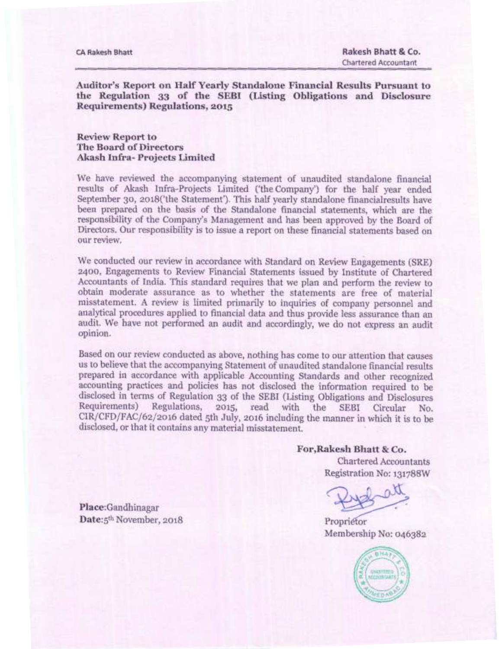**Auditor's Report on Half Yearly Standalone Financial Results Pursuant to**  the Regulation 33 of the SEBI (Listing Obligations and Disclosure **Requirements) Regulations, 2015** 

**Review Report to The Board of Directors Akash Infra- Projects Limited** 

We have reviewed the accompanying statement of unaudited standalone financial results of Akash Infra-Projects Limited ('the Company') for the half year ended September 30, 2018('the Statement'). This half yearly standalone financialresults have been prepared on the basis of the Standalone financial statements, which are the responsibility of the Company's **Management and** has been approved by the Board of Directors. Our responsibility is to issue a report on these financial statements based on our review.

We conducted our review in accordance with **Standard on Review Engagements (SRE) 2400,** Engagements to Review Financial Statements issued by Institute of Chartered Accountants of India. This standard requires that we plan and perform the review to obtain moderate assurance as to whether the statements are free of material misstatement. A review is limited primarily to inquiries of company personnel and analytical procedures applied to financial data and **thus** provide less assurance than an audit. We have not performed an audit and accordingly, we do not express an audit opinion.

Based on our review conducted as **above, nothing has come to our attention** that causes us to believe that the accompanying Statement of unaudited standalone financial results prepared in accordance with applicable Accounting Standards and other recognized accounting practices and policies has not disclosed the information required to be disclosed in terms of Regulation **33 of the** SEBI (Listing **Obligations** and Disclosures Regulations, 2015, read with CIR/CFD/FAC/62/2016 dated sth July, 2016 including the manner in which **it is** to be disclosed, or that it contains any material misstatement.

**For,Rakesh Bhatt & Co.** 

**Chartered Accountants Registration No:131788W** 

**Membership** No: 046382



**Place:Gandhinagar Date:**5<sup>th</sup> November, 2018 **Proprietor**